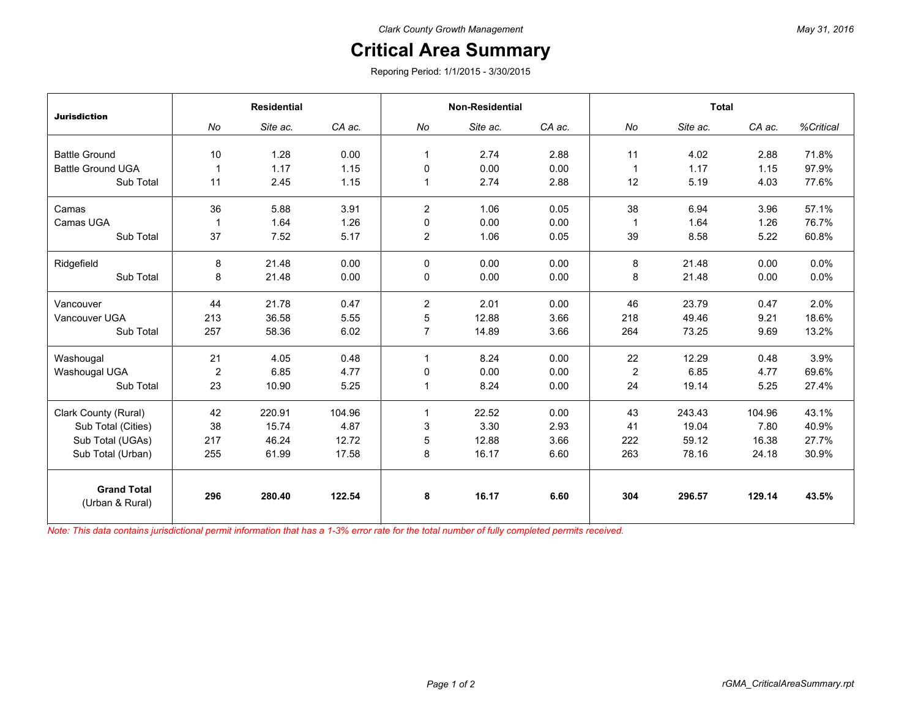## **Critical Area Summary**

Reporing Period: 1/1/2015 - 3/30/2015

| <b>Jurisdiction</b>                   | <b>Residential</b> |          |        | <b>Non-Residential</b> |          |        | <b>Total</b>   |          |        |           |
|---------------------------------------|--------------------|----------|--------|------------------------|----------|--------|----------------|----------|--------|-----------|
|                                       | No                 | Site ac. | CA ac. | No                     | Site ac. | CA ac. | No             | Site ac. | CA ac. | %Critical |
|                                       |                    |          |        |                        |          |        |                |          |        |           |
| <b>Battle Ground</b>                  | 10                 | 1.28     | 0.00   | 1                      | 2.74     | 2.88   | 11             | 4.02     | 2.88   | 71.8%     |
| <b>Battle Ground UGA</b>              |                    | 1.17     | 1.15   | $\Omega$               | 0.00     | 0.00   | $\mathbf{1}$   | 1.17     | 1.15   | 97.9%     |
| Sub Total                             | 11                 | 2.45     | 1.15   | 1                      | 2.74     | 2.88   | 12             | 5.19     | 4.03   | 77.6%     |
| Camas                                 | 36                 | 5.88     | 3.91   | $\overline{2}$         | 1.06     | 0.05   | 38             | 6.94     | 3.96   | 57.1%     |
| Camas UGA                             | -1                 | 1.64     | 1.26   | 0                      | 0.00     | 0.00   | $\mathbf 1$    | 1.64     | 1.26   | 76.7%     |
| Sub Total                             | 37                 | 7.52     | 5.17   | $\overline{2}$         | 1.06     | 0.05   | 39             | 8.58     | 5.22   | 60.8%     |
| Ridgefield                            | 8                  | 21.48    | 0.00   | 0                      | 0.00     | 0.00   | 8              | 21.48    | 0.00   | 0.0%      |
| Sub Total                             | 8                  | 21.48    | 0.00   | 0                      | 0.00     | 0.00   | 8              | 21.48    | 0.00   | 0.0%      |
| Vancouver                             | 44                 | 21.78    | 0.47   | $\overline{2}$         | 2.01     | 0.00   | 46             | 23.79    | 0.47   | 2.0%      |
| Vancouver UGA                         | 213                | 36.58    | 5.55   | 5                      | 12.88    | 3.66   | 218            | 49.46    | 9.21   | 18.6%     |
| Sub Total                             | 257                | 58.36    | 6.02   | $\overline{7}$         | 14.89    | 3.66   | 264            | 73.25    | 9.69   | 13.2%     |
| Washougal                             | 21                 | 4.05     | 0.48   | $\mathbf{1}$           | 8.24     | 0.00   | 22             | 12.29    | 0.48   | 3.9%      |
| Washougal UGA                         | $\overline{2}$     | 6.85     | 4.77   | 0                      | 0.00     | 0.00   | $\overline{2}$ | 6.85     | 4.77   | 69.6%     |
| Sub Total                             | 23                 | 10.90    | 5.25   | 1                      | 8.24     | 0.00   | 24             | 19.14    | 5.25   | 27.4%     |
| Clark County (Rural)                  | 42                 | 220.91   | 104.96 | $\mathbf{1}$           | 22.52    | 0.00   | 43             | 243.43   | 104.96 | 43.1%     |
| Sub Total (Cities)                    | 38                 | 15.74    | 4.87   | 3                      | 3.30     | 2.93   | 41             | 19.04    | 7.80   | 40.9%     |
| Sub Total (UGAs)                      | 217                | 46.24    | 12.72  | 5                      | 12.88    | 3.66   | 222            | 59.12    | 16.38  | 27.7%     |
| Sub Total (Urban)                     | 255                | 61.99    | 17.58  | 8                      | 16.17    | 6.60   | 263            | 78.16    | 24.18  | 30.9%     |
| <b>Grand Total</b><br>(Urban & Rural) | 296                | 280.40   | 122.54 | 8                      | 16.17    | 6.60   | 304            | 296.57   | 129.14 | 43.5%     |

*Note: This data contains jurisdictional permit information that has a 1-3% error rate for the total number of fully completed permits received.*